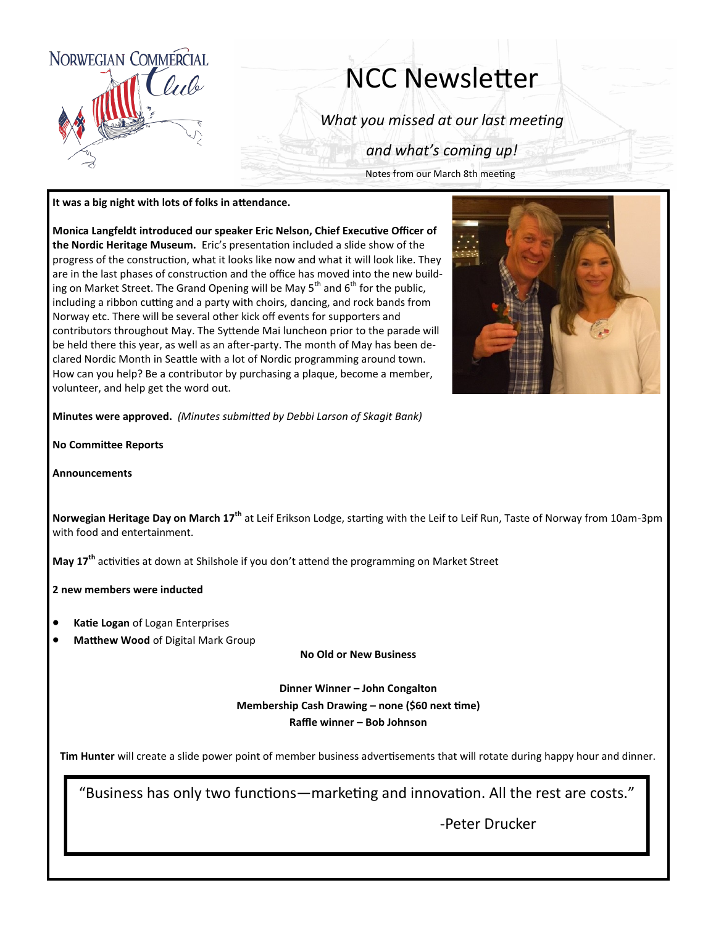

## NCC Newsletter

*What you missed at our last meeting*

*and what's coming up!*

Notes from our March 8th meeting

## **It was a big night with lots of folks in attendance.**

**Monica Langfeldt introduced our speaker Eric Nelson, Chief Executive Officer of the Nordic Heritage Museum.** Eric's presentation included a slide show of the progress of the construction, what it looks like now and what it will look like. They are in the last phases of construction and the office has moved into the new building on Market Street. The Grand Opening will be May  $5<sup>th</sup>$  and  $6<sup>th</sup>$  for the public, including a ribbon cutting and a party with choirs, dancing, and rock bands from Norway etc. There will be several other kick off events for supporters and contributors throughout May. The Syttende Mai luncheon prior to the parade will be held there this year, as well as an after-party. The month of May has been declared Nordic Month in Seattle with a lot of Nordic programming around town. How can you help? Be a contributor by purchasing a plaque, become a member, volunteer, and help get the word out.



**Minutes were approved.** *(Minutes submitted by Debbi Larson of Skagit Bank)*

**No Committee Reports**

**Announcements**

**Norwegian Heritage Day on March 17th** at Leif Erikson Lodge, starting with the Leif to Leif Run, Taste of Norway from 10am-3pm with food and entertainment.

**May 17th** activities at down at Shilshole if you don't attend the programming on Market Street

**2 new members were inducted**

- **Katie Logan** of Logan Enterprises
- **Matthew Wood** of Digital Mark Group

**No Old or New Business**

**Dinner Winner – John Congalton Membership Cash Drawing – none (\$60 next time) Raffle winner – Bob Johnson**

**Tim Hunter** will create a slide power point of member business advertisements that will rotate during happy hour and dinner.

"Business has only two functions—marketing and innovation. All the rest are costs."

-Peter Drucker